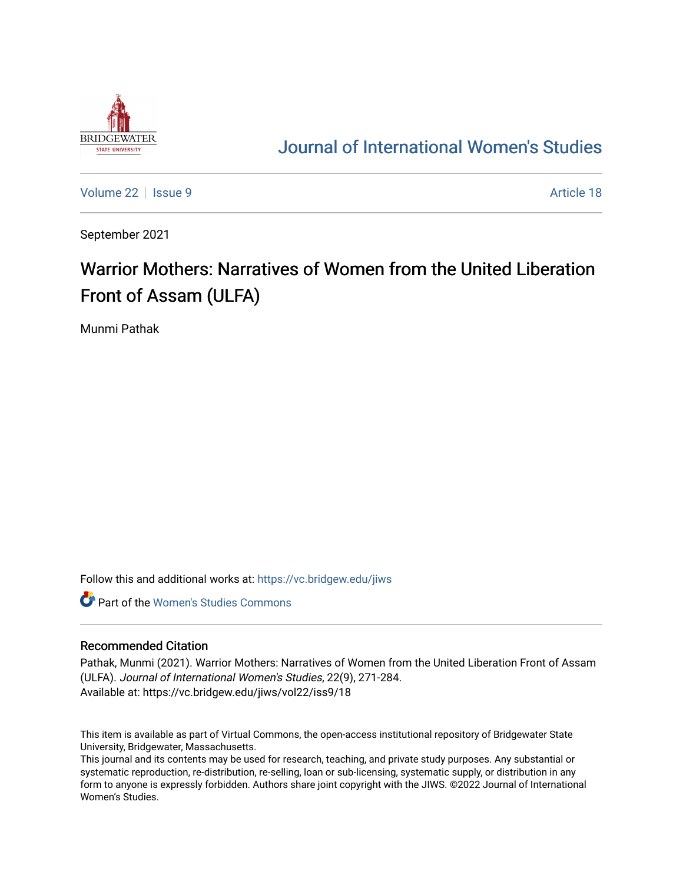

## [Journal of International Women's Studies](https://vc.bridgew.edu/jiws)

[Volume 22](https://vc.bridgew.edu/jiws/vol22) | [Issue 9](https://vc.bridgew.edu/jiws/vol22/iss9) Article 18

September 2021

# Warrior Mothers: Narratives of Women from the United Liberation Front of Assam (ULFA)

Munmi Pathak

Follow this and additional works at: [https://vc.bridgew.edu/jiws](https://vc.bridgew.edu/jiws?utm_source=vc.bridgew.edu%2Fjiws%2Fvol22%2Fiss9%2F18&utm_medium=PDF&utm_campaign=PDFCoverPages)

**C** Part of the Women's Studies Commons

#### Recommended Citation

Pathak, Munmi (2021). Warrior Mothers: Narratives of Women from the United Liberation Front of Assam (ULFA). Journal of International Women's Studies, 22(9), 271-284. Available at: https://vc.bridgew.edu/jiws/vol22/iss9/18

This item is available as part of Virtual Commons, the open-access institutional repository of Bridgewater State University, Bridgewater, Massachusetts.

This journal and its contents may be used for research, teaching, and private study purposes. Any substantial or systematic reproduction, re-distribution, re-selling, loan or sub-licensing, systematic supply, or distribution in any form to anyone is expressly forbidden. Authors share joint copyright with the JIWS. ©2022 Journal of International Women's Studies.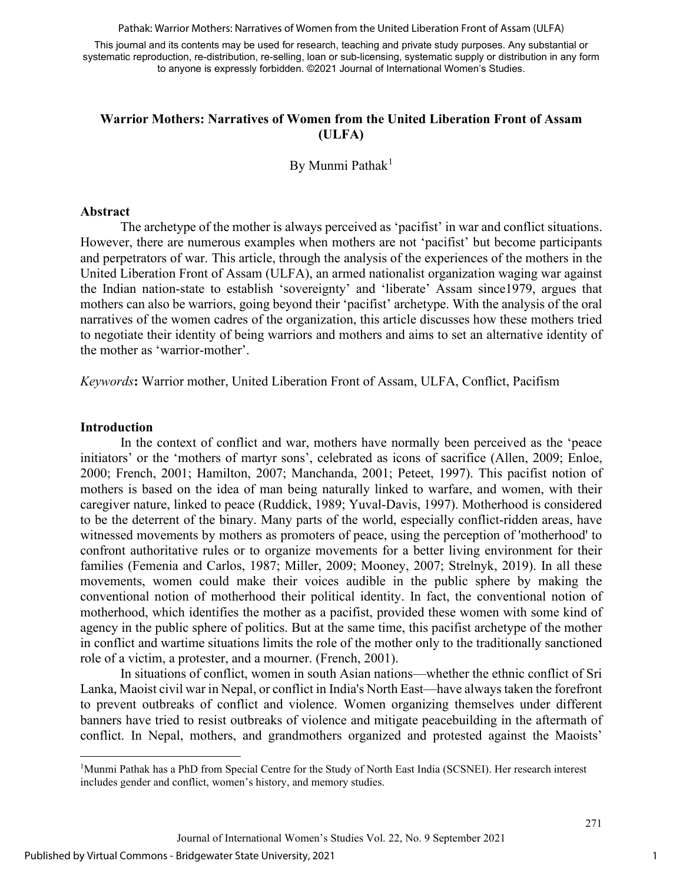Pathak: Warrior Mothers: Narratives of Women from the United Liberation Front of Assam (ULFA)

This journal and its contents may be used for research, teaching and private study purposes. Any substantial or systematic reproduction, re-distribution, re-selling, loan or sub-licensing, systematic supply or distribution in any form to anyone is expressly forbidden. ©2021 Journal of International Women's Studies.

#### **Warrior Mothers: Narratives of Women from the United Liberation Front of Assam (ULFA)**

By Munmi Pathak<sup>[1](#page-1-0)</sup>

#### **Abstract**

The archetype of the mother is always perceived as 'pacifist' in war and conflict situations. However, there are numerous examples when mothers are not 'pacifist' but become participants and perpetrators of war. This article, through the analysis of the experiences of the mothers in the United Liberation Front of Assam (ULFA), an armed nationalist organization waging war against the Indian nation-state to establish 'sovereignty' and 'liberate' Assam since1979, argues that mothers can also be warriors, going beyond their 'pacifist' archetype. With the analysis of the oral narratives of the women cadres of the organization, this article discusses how these mothers tried to negotiate their identity of being warriors and mothers and aims to set an alternative identity of the mother as 'warrior-mother'.

*Keywords***:** Warrior mother, United Liberation Front of Assam, ULFA, Conflict, Pacifism

#### **Introduction**

In the context of conflict and war, mothers have normally been perceived as the 'peace initiators' or the 'mothers of martyr sons', celebrated as icons of sacrifice (Allen, 2009; Enloe, 2000; French, 2001; Hamilton, 2007; Manchanda, 2001; Peteet, 1997). This pacifist notion of mothers is based on the idea of man being naturally linked to warfare, and women, with their caregiver nature, linked to peace (Ruddick, 1989; Yuval-Davis, 1997). Motherhood is considered to be the deterrent of the binary. Many parts of the world, especially conflict-ridden areas, have witnessed movements by mothers as promoters of peace, using the perception of 'motherhood' to confront authoritative rules or to organize movements for a better living environment for their families (Femenia and Carlos, 1987; Miller, 2009; Mooney, 2007; Strelnyk, 2019). In all these movements, women could make their voices audible in the public sphere by making the conventional notion of motherhood their political identity. In fact, the conventional notion of motherhood, which identifies the mother as a pacifist, provided these women with some kind of agency in the public sphere of politics. But at the same time, this pacifist archetype of the mother in conflict and wartime situations limits the role of the mother only to the traditionally sanctioned role of a victim, a protester, and a mourner. (French, 2001).

In situations of conflict, women in south Asian nations—whether the ethnic conflict of Sri Lanka, Maoist civil war in Nepal, or conflict in India's North East—have always taken the forefront to prevent outbreaks of conflict and violence. Women organizing themselves under different banners have tried to resist outbreaks of violence and mitigate peacebuilding in the aftermath of conflict. In Nepal, mothers, and grandmothers organized and protested against the Maoists'

<span id="page-1-0"></span><sup>&</sup>lt;sup>1</sup>Munmi Pathak has a PhD from Special Centre for the Study of North East India (SCSNEI). Her research interest includes gender and conflict, women's history, and memory studies.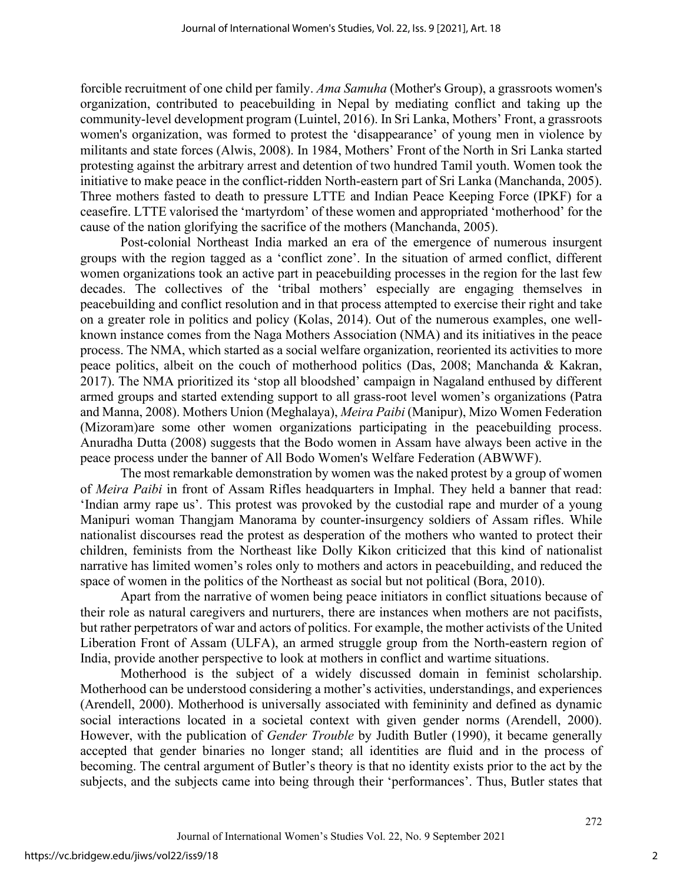forcible recruitment of one child per family. *Ama Samuha* (Mother's Group), a grassroots women's organization, contributed to peacebuilding in Nepal by mediating conflict and taking up the community-level development program (Luintel, 2016). In Sri Lanka, Mothers' Front, a grassroots women's organization, was formed to protest the 'disappearance' of young men in violence by militants and state forces (Alwis, 2008). In 1984, Mothers' Front of the North in Sri Lanka started protesting against the arbitrary arrest and detention of two hundred Tamil youth. Women took the initiative to make peace in the conflict-ridden North-eastern part of Sri Lanka (Manchanda, 2005). Three mothers fasted to death to pressure LTTE and Indian Peace Keeping Force (IPKF) for a ceasefire. LTTE valorised the 'martyrdom' of these women and appropriated 'motherhood' for the cause of the nation glorifying the sacrifice of the mothers (Manchanda, 2005).

Post-colonial Northeast India marked an era of the emergence of numerous insurgent groups with the region tagged as a 'conflict zone'. In the situation of armed conflict, different women organizations took an active part in peacebuilding processes in the region for the last few decades. The collectives of the 'tribal mothers' especially are engaging themselves in peacebuilding and conflict resolution and in that process attempted to exercise their right and take on a greater role in politics and policy (Kolas, 2014). Out of the numerous examples, one wellknown instance comes from the Naga Mothers Association (NMA) and its initiatives in the peace process. The NMA, which started as a social welfare organization, reoriented its activities to more peace politics, albeit on the couch of motherhood politics (Das, 2008; Manchanda & Kakran, 2017). The NMA prioritized its 'stop all bloodshed' campaign in Nagaland enthused by different armed groups and started extending support to all grass-root level women's organizations (Patra and Manna, 2008). Mothers Union (Meghalaya), *Meira Paibi* (Manipur), Mizo Women Federation (Mizoram)are some other women organizations participating in the peacebuilding process. Anuradha Dutta (2008) suggests that the Bodo women in Assam have always been active in the peace process under the banner of All Bodo Women's Welfare Federation (ABWWF).

The most remarkable demonstration by women was the naked protest by a group of women of *Meira Paibi* in front of Assam Rifles headquarters in Imphal. They held a banner that read: 'Indian army rape us'. This protest was provoked by the custodial rape and murder of a young Manipuri woman Thangjam Manorama by counter-insurgency soldiers of Assam rifles. While nationalist discourses read the protest as desperation of the mothers who wanted to protect their children, feminists from the Northeast like Dolly Kikon criticized that this kind of nationalist narrative has limited women's roles only to mothers and actors in peacebuilding, and reduced the space of women in the politics of the Northeast as social but not political (Bora, 2010).

Apart from the narrative of women being peace initiators in conflict situations because of their role as natural caregivers and nurturers, there are instances when mothers are not pacifists, but rather perpetrators of war and actors of politics. For example, the mother activists of the United Liberation Front of Assam (ULFA), an armed struggle group from the North-eastern region of India, provide another perspective to look at mothers in conflict and wartime situations.

Motherhood is the subject of a widely discussed domain in feminist scholarship. Motherhood can be understood considering a mother's activities, understandings, and experiences (Arendell, 2000). Motherhood is universally associated with femininity and defined as dynamic social interactions located in a societal context with given gender norms (Arendell, 2000). However, with the publication of *Gender Trouble* by Judith Butler (1990), it became generally accepted that gender binaries no longer stand; all identities are fluid and in the process of becoming. The central argument of Butler's theory is that no identity exists prior to the act by the subjects, and the subjects came into being through their 'performances'. Thus, Butler states that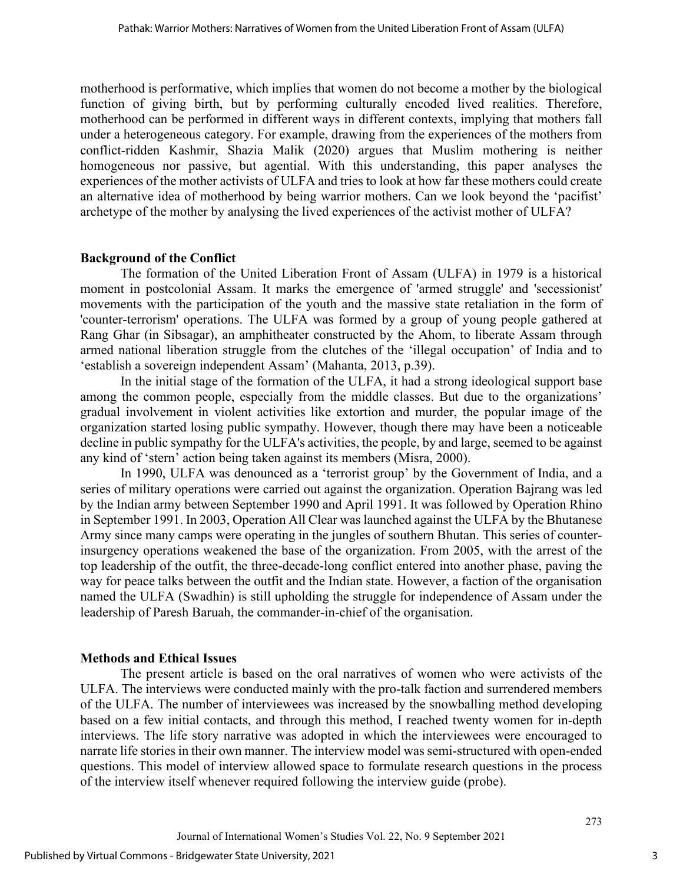motherhood is performative, which implies that women do not become a mother by the biological function of giving birth, but by performing culturally encoded lived realities. Therefore, motherhood can be performed in different ways in different contexts, implying that mothers fall under a heterogeneous category. For example, drawing from the experiences of the mothers from conflict-ridden Kashmir, Shazia Malik (2020) argues that Muslim mothering is neither homogeneous nor passive, but agential. With this understanding, this paper analyses the experiences of the mother activists of ULFA and tries to look at how far these mothers could create an alternative idea of motherhood by being warrior mothers. Can we look beyond the 'pacifist' archetype of the mother by analysing the lived experiences of the activist mother of ULFA?

## **Background of the Conflict**

The formation of the United Liberation Front of Assam (ULFA) in 1979 is a historical moment in postcolonial Assam. It marks the emergence of 'armed struggle' and 'secessionist' movements with the participation of the youth and the massive state retaliation in the form of 'counter-terrorism' operations. The ULFA was formed by a group of young people gathered at Rang Ghar (in Sibsagar), an amphitheater constructed by the Ahom, to liberate Assam through armed national liberation struggle from the clutches of the 'illegal occupation' of India and to 'establish a sovereign independent Assam' (Mahanta, 2013, p.39).

In the initial stage of the formation of the ULFA, it had a strong ideological support base among the common people, especially from the middle classes. But due to the organizations' gradual involvement in violent activities like extortion and murder, the popular image of the organization started losing public sympathy. However, though there may have been a noticeable decline in public sympathy for the ULFA's activities, the people, by and large, seemed to be against any kind of 'stern' action being taken against its members (Misra, 2000).

In 1990, ULFA was denounced as a 'terrorist group' by the Government of India, and a series of military operations were carried out against the organization. Operation Bajrang was led by the Indian army between September 1990 and April 1991. It was followed by Operation Rhino in September 1991. In 2003, Operation All Clear was launched against the ULFA by the Bhutanese Army since many camps were operating in the jungles of southern Bhutan. This series of counterinsurgency operations weakened the base of the organization. From 2005, with the arrest of the top leadership of the outfit, the three-decade-long conflict entered into another phase, paving the way for peace talks between the outfit and the Indian state. However, a faction of the organisation named the ULFA (Swadhin) is still upholding the struggle for independence of Assam under the leadership of Paresh Baruah, the commander-in-chief of the organisation.

## **Methods and Ethical Issues**

The present article is based on the oral narratives of women who were activists of the ULFA. The interviews were conducted mainly with the pro-talk faction and surrendered members of the ULFA. The number of interviewees was increased by the snowballing method developing based on a few initial contacts, and through this method, I reached twenty women for in-depth interviews. The life story narrative was adopted in which the interviewees were encouraged to narrate life stories in their own manner. The interview model was semi-structured with open-ended questions. This model of interview allowed space to formulate research questions in the process of the interview itself whenever required following the interview guide (probe).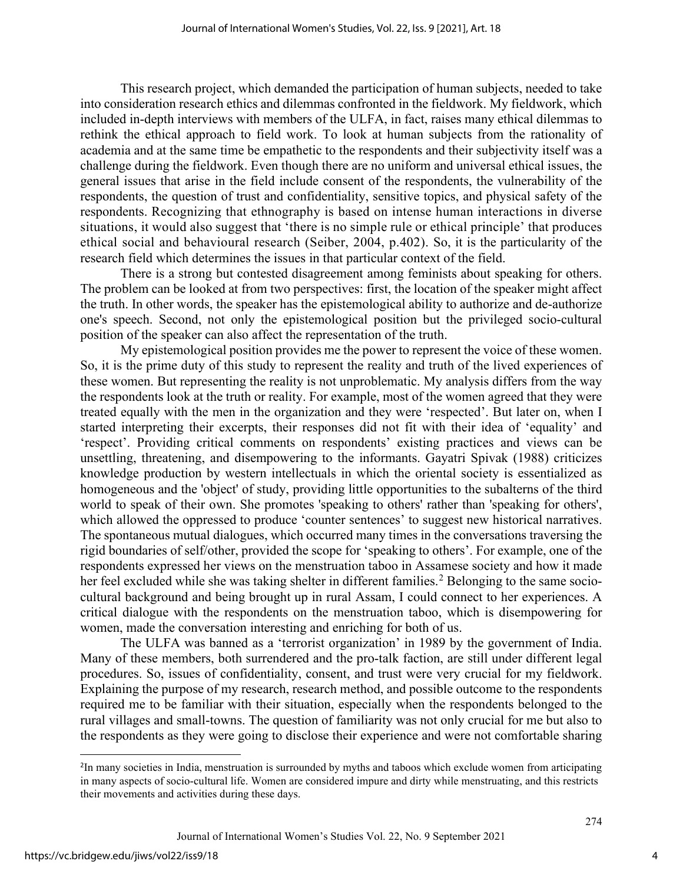This research project, which demanded the participation of human subjects, needed to take into consideration research ethics and dilemmas confronted in the fieldwork. My fieldwork, which included in-depth interviews with members of the ULFA, in fact, raises many ethical dilemmas to rethink the ethical approach to field work. To look at human subjects from the rationality of academia and at the same time be empathetic to the respondents and their subjectivity itself was a challenge during the fieldwork. Even though there are no uniform and universal ethical issues, the general issues that arise in the field include consent of the respondents, the vulnerability of the respondents, the question of trust and confidentiality, sensitive topics, and physical safety of the respondents. Recognizing that ethnography is based on intense human interactions in diverse situations, it would also suggest that 'there is no simple rule or ethical principle' that produces ethical social and behavioural research (Seiber, 2004, p.402). So, it is the particularity of the research field which determines the issues in that particular context of the field.

There is a strong but contested disagreement among feminists about speaking for others. The problem can be looked at from two perspectives: first, the location of the speaker might affect the truth. In other words, the speaker has the epistemological ability to authorize and de-authorize one's speech. Second, not only the epistemological position but the privileged socio-cultural position of the speaker can also affect the representation of the truth.

My epistemological position provides me the power to represent the voice of these women. So, it is the prime duty of this study to represent the reality and truth of the lived experiences of these women. But representing the reality is not unproblematic. My analysis differs from the way the respondents look at the truth or reality. For example, most of the women agreed that they were treated equally with the men in the organization and they were 'respected'. But later on, when I started interpreting their excerpts, their responses did not fit with their idea of 'equality' and 'respect'. Providing critical comments on respondents' existing practices and views can be unsettling, threatening, and disempowering to the informants. Gayatri Spivak (1988) criticizes knowledge production by western intellectuals in which the oriental society is essentialized as homogeneous and the 'object' of study, providing little opportunities to the subalterns of the third world to speak of their own. She promotes 'speaking to others' rather than 'speaking for others', which allowed the oppressed to produce 'counter sentences' to suggest new historical narratives. The spontaneous mutual dialogues, which occurred many times in the conversations traversing the rigid boundaries of self/other, provided the scope for 'speaking to others'. For example, one of the respondents expressed her views on the menstruation taboo in Assamese society and how it made her feel excluded while she was taking shelter in different families.<sup>[2](#page-4-0)</sup> Belonging to the same sociocultural background and being brought up in rural Assam, I could connect to her experiences. A critical dialogue with the respondents on the menstruation taboo, which is disempowering for women, made the conversation interesting and enriching for both of us.

The ULFA was banned as a 'terrorist organization' in 1989 by the government of India. Many of these members, both surrendered and the pro-talk faction, are still under different legal procedures. So, issues of confidentiality, consent, and trust were very crucial for my fieldwork. Explaining the purpose of my research, research method, and possible outcome to the respondents required me to be familiar with their situation, especially when the respondents belonged to the rural villages and small-towns. The question of familiarity was not only crucial for me but also to the respondents as they were going to disclose their experience and were not comfortable sharing

<span id="page-4-0"></span><sup>2</sup> In many societies in India, menstruation is surrounded by myths and taboos which exclude women from articipating in many aspects of socio-cultural life. Women are considered impure and dirty while menstruating, and this restricts their movements and activities during these days.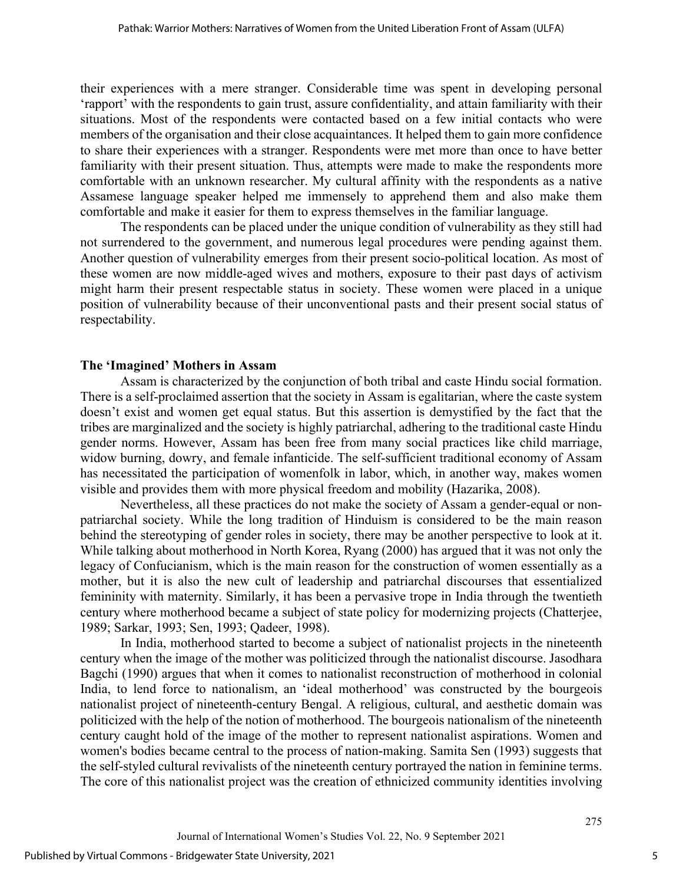their experiences with a mere stranger. Considerable time was spent in developing personal 'rapport' with the respondents to gain trust, assure confidentiality, and attain familiarity with their situations. Most of the respondents were contacted based on a few initial contacts who were members of the organisation and their close acquaintances. It helped them to gain more confidence to share their experiences with a stranger. Respondents were met more than once to have better familiarity with their present situation. Thus, attempts were made to make the respondents more comfortable with an unknown researcher. My cultural affinity with the respondents as a native Assamese language speaker helped me immensely to apprehend them and also make them comfortable and make it easier for them to express themselves in the familiar language.

The respondents can be placed under the unique condition of vulnerability as they still had not surrendered to the government, and numerous legal procedures were pending against them. Another question of vulnerability emerges from their present socio-political location. As most of these women are now middle-aged wives and mothers, exposure to their past days of activism might harm their present respectable status in society. These women were placed in a unique position of vulnerability because of their unconventional pasts and their present social status of respectability.

#### **The 'Imagined' Mothers in Assam**

Assam is characterized by the conjunction of both tribal and caste Hindu social formation. There is a self-proclaimed assertion that the society in Assam is egalitarian, where the caste system doesn't exist and women get equal status. But this assertion is demystified by the fact that the tribes are marginalized and the society is highly patriarchal, adhering to the traditional caste Hindu gender norms. However, Assam has been free from many social practices like child marriage, widow burning, dowry, and female infanticide. The self-sufficient traditional economy of Assam has necessitated the participation of womenfolk in labor, which, in another way, makes women visible and provides them with more physical freedom and mobility (Hazarika, 2008).

Nevertheless, all these practices do not make the society of Assam a gender-equal or nonpatriarchal society. While the long tradition of Hinduism is considered to be the main reason behind the stereotyping of gender roles in society, there may be another perspective to look at it. While talking about motherhood in North Korea, Ryang (2000) has argued that it was not only the legacy of Confucianism, which is the main reason for the construction of women essentially as a mother, but it is also the new cult of leadership and patriarchal discourses that essentialized femininity with maternity. Similarly, it has been a pervasive trope in India through the twentieth century where motherhood became a subject of state policy for modernizing projects (Chatterjee, 1989; Sarkar, 1993; Sen, 1993; Qadeer, 1998).

In India, motherhood started to become a subject of nationalist projects in the nineteenth century when the image of the mother was politicized through the nationalist discourse. Jasodhara Bagchi (1990) argues that when it comes to nationalist reconstruction of motherhood in colonial India, to lend force to nationalism, an 'ideal motherhood' was constructed by the bourgeois nationalist project of nineteenth-century Bengal. A religious, cultural, and aesthetic domain was politicized with the help of the notion of motherhood. The bourgeois nationalism of the nineteenth century caught hold of the image of the mother to represent nationalist aspirations. Women and women's bodies became central to the process of nation-making. Samita Sen (1993) suggests that the self-styled cultural revivalists of the nineteenth century portrayed the nation in feminine terms. The core of this nationalist project was the creation of ethnicized community identities involving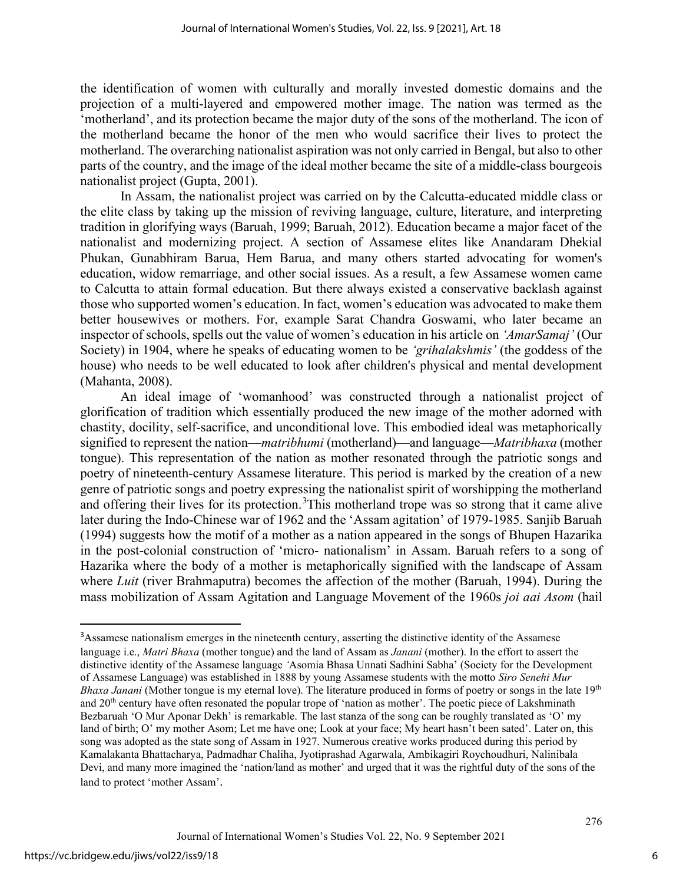the identification of women with culturally and morally invested domestic domains and the projection of a multi-layered and empowered mother image. The nation was termed as the 'motherland', and its protection became the major duty of the sons of the motherland. The icon of the motherland became the honor of the men who would sacrifice their lives to protect the motherland. The overarching nationalist aspiration was not only carried in Bengal, but also to other parts of the country, and the image of the ideal mother became the site of a middle-class bourgeois nationalist project (Gupta, 2001).

In Assam, the nationalist project was carried on by the Calcutta-educated middle class or the elite class by taking up the mission of reviving language, culture, literature, and interpreting tradition in glorifying ways (Baruah, 1999; Baruah, 2012). Education became a major facet of the nationalist and modernizing project. A section of Assamese elites like Anandaram Dhekial Phukan, Gunabhiram Barua, Hem Barua, and many others started advocating for women's education, widow remarriage, and other social issues. As a result, a few Assamese women came to Calcutta to attain formal education. But there always existed a conservative backlash against those who supported women's education. In fact, women's education was advocated to make them better housewives or mothers. For, example Sarat Chandra Goswami, who later became an inspector of schools, spells out the value of women's education in his article on *'AmarSamaj'* (Our Society) in 1904, where he speaks of educating women to be *'grihalakshmis'* (the goddess of the house) who needs to be well educated to look after children's physical and mental development (Mahanta, 2008).

An ideal image of 'womanhood' was constructed through a nationalist project of glorification of tradition which essentially produced the new image of the mother adorned with chastity, docility, self-sacrifice, and unconditional love. This embodied ideal was metaphorically signified to represent the nation—*matribhumi* (motherland)—and language—*Matribhaxa* (mother tongue). This representation of the nation as mother resonated through the patriotic songs and poetry of nineteenth-century Assamese literature. This period is marked by the creation of a new genre of patriotic songs and poetry expressing the nationalist spirit of worshipping the motherland and offering their lives for its protection.<sup>[3](#page-6-0)</sup>This motherland trope was so strong that it came alive later during the Indo-Chinese war of 1962 and the 'Assam agitation' of 1979-1985. Sanjib Baruah (1994) suggests how the motif of a mother as a nation appeared in the songs of Bhupen Hazarika in the post-colonial construction of 'micro- nationalism' in Assam. Baruah refers to a song of Hazarika where the body of a mother is metaphorically signified with the landscape of Assam where *Luit* (river Brahmaputra) becomes the affection of the mother (Baruah, 1994). During the mass mobilization of Assam Agitation and Language Movement of the 1960s *joi aai Asom* (hail

<span id="page-6-0"></span><sup>&</sup>lt;sup>3</sup>Assamese nationalism emerges in the nineteenth century, asserting the distinctive identity of the Assamese language i.e., *Matri Bhaxa* (mother tongue) and the land of Assam as *Janani* (mother). In the effort to assert the distinctive identity of the Assamese language *'*Asomia Bhasa Unnati Sadhini Sabha' (Society for the Development of Assamese Language) was established in 1888 by young Assamese students with the motto *Siro Senehi Mur Bhaxa Janani* (Mother tongue is my eternal love). The literature produced in forms of poetry or songs in the late 19<sup>th</sup> and 20<sup>th</sup> century have often resonated the popular trope of 'nation as mother'. The poetic piece of Lakshminath Bezbaruah 'O Mur Aponar Dekh' is remarkable. The last stanza of the song can be roughly translated as 'O' my land of birth; O' my mother Asom; Let me have one; Look at your face; My heart hasn't been sated'. Later on, this song was adopted as the state song of Assam in 1927. Numerous creative works produced during this period by Kamalakanta Bhattacharya, Padmadhar Chaliha, Jyotiprashad Agarwala, Ambikagiri Roychoudhuri, Nalinibala Devi, and many more imagined the 'nation/land as mother' and urged that it was the rightful duty of the sons of the land to protect 'mother Assam'.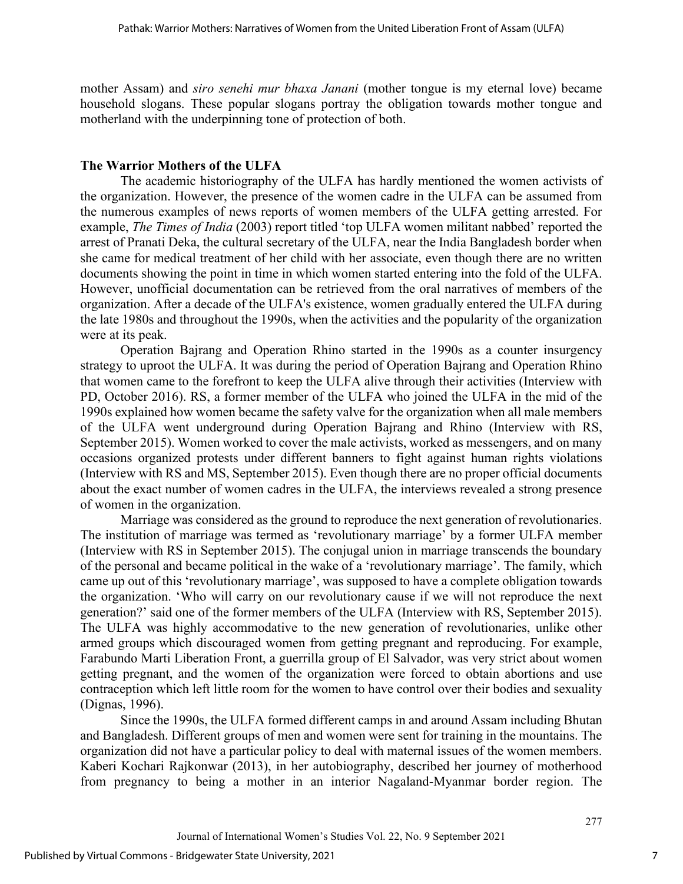mother Assam) and *siro senehi mur bhaxa Janani* (mother tongue is my eternal love) became household slogans. These popular slogans portray the obligation towards mother tongue and motherland with the underpinning tone of protection of both.

### **The Warrior Mothers of the ULFA**

The academic historiography of the ULFA has hardly mentioned the women activists of the organization. However, the presence of the women cadre in the ULFA can be assumed from the numerous examples of news reports of women members of the ULFA getting arrested. For example, *The Times of India* (2003) report titled 'top ULFA women militant nabbed' reported the arrest of Pranati Deka, the cultural secretary of the ULFA, near the India Bangladesh border when she came for medical treatment of her child with her associate, even though there are no written documents showing the point in time in which women started entering into the fold of the ULFA. However, unofficial documentation can be retrieved from the oral narratives of members of the organization. After a decade of the ULFA's existence, women gradually entered the ULFA during the late 1980s and throughout the 1990s, when the activities and the popularity of the organization were at its peak.

Operation Bajrang and Operation Rhino started in the 1990s as a counter insurgency strategy to uproot the ULFA. It was during the period of Operation Bajrang and Operation Rhino that women came to the forefront to keep the ULFA alive through their activities (Interview with PD, October 2016). RS, a former member of the ULFA who joined the ULFA in the mid of the 1990s explained how women became the safety valve for the organization when all male members of the ULFA went underground during Operation Bajrang and Rhino (Interview with RS, September 2015). Women worked to cover the male activists, worked as messengers, and on many occasions organized protests under different banners to fight against human rights violations (Interview with RS and MS, September 2015). Even though there are no proper official documents about the exact number of women cadres in the ULFA, the interviews revealed a strong presence of women in the organization.

Marriage was considered as the ground to reproduce the next generation of revolutionaries. The institution of marriage was termed as 'revolutionary marriage' by a former ULFA member (Interview with RS in September 2015). The conjugal union in marriage transcends the boundary of the personal and became political in the wake of a 'revolutionary marriage'. The family, which came up out of this 'revolutionary marriage', was supposed to have a complete obligation towards the organization. 'Who will carry on our revolutionary cause if we will not reproduce the next generation?' said one of the former members of the ULFA (Interview with RS, September 2015). The ULFA was highly accommodative to the new generation of revolutionaries, unlike other armed groups which discouraged women from getting pregnant and reproducing. For example, Farabundo Marti Liberation Front, a guerrilla group of El Salvador, was very strict about women getting pregnant, and the women of the organization were forced to obtain abortions and use contraception which left little room for the women to have control over their bodies and sexuality (Dignas, 1996).

Since the 1990s, the ULFA formed different camps in and around Assam including Bhutan and Bangladesh. Different groups of men and women were sent for training in the mountains. The organization did not have a particular policy to deal with maternal issues of the women members. Kaberi Kochari Rajkonwar (2013), in her autobiography, described her journey of motherhood from pregnancy to being a mother in an interior Nagaland-Myanmar border region. The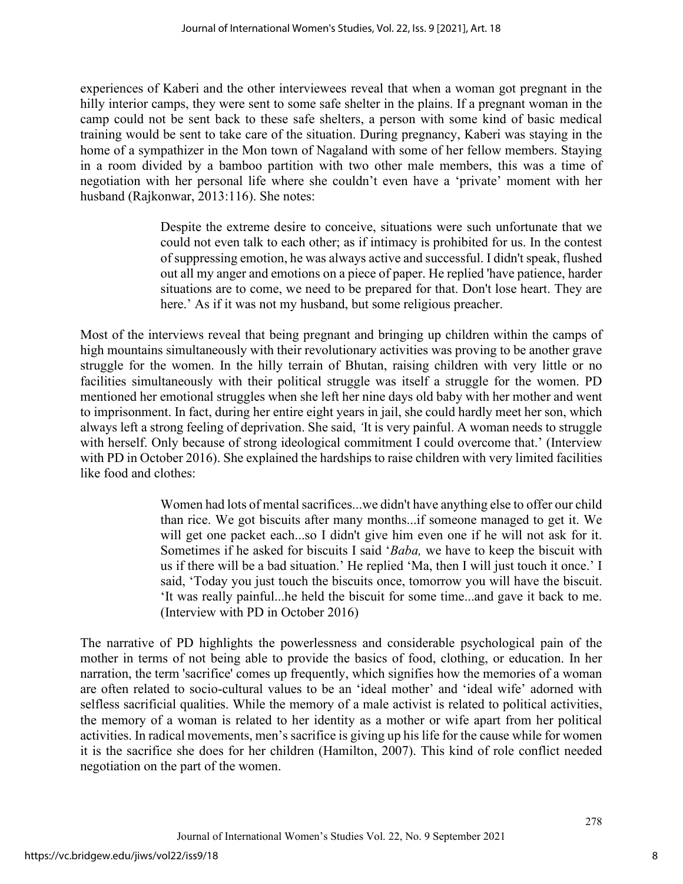experiences of Kaberi and the other interviewees reveal that when a woman got pregnant in the hilly interior camps, they were sent to some safe shelter in the plains. If a pregnant woman in the camp could not be sent back to these safe shelters, a person with some kind of basic medical training would be sent to take care of the situation. During pregnancy, Kaberi was staying in the home of a sympathizer in the Mon town of Nagaland with some of her fellow members. Staying in a room divided by a bamboo partition with two other male members, this was a time of negotiation with her personal life where she couldn't even have a 'private' moment with her husband (Rajkonwar, 2013:116). She notes:

> Despite the extreme desire to conceive, situations were such unfortunate that we could not even talk to each other; as if intimacy is prohibited for us. In the contest of suppressing emotion, he was always active and successful. I didn't speak, flushed out all my anger and emotions on a piece of paper. He replied 'have patience, harder situations are to come, we need to be prepared for that. Don't lose heart. They are here.' As if it was not my husband, but some religious preacher.

Most of the interviews reveal that being pregnant and bringing up children within the camps of high mountains simultaneously with their revolutionary activities was proving to be another grave struggle for the women. In the hilly terrain of Bhutan, raising children with very little or no facilities simultaneously with their political struggle was itself a struggle for the women. PD mentioned her emotional struggles when she left her nine days old baby with her mother and went to imprisonment. In fact, during her entire eight years in jail, she could hardly meet her son, which always left a strong feeling of deprivation. She said, *'*It is very painful. A woman needs to struggle with herself. Only because of strong ideological commitment I could overcome that.' (Interview with PD in October 2016). She explained the hardships to raise children with very limited facilities like food and clothes:

> Women had lots of mental sacrifices...we didn't have anything else to offer our child than rice. We got biscuits after many months...if someone managed to get it. We will get one packet each...so I didn't give him even one if he will not ask for it. Sometimes if he asked for biscuits I said '*Baba,* we have to keep the biscuit with us if there will be a bad situation.' He replied 'Ma, then I will just touch it once.' I said, 'Today you just touch the biscuits once, tomorrow you will have the biscuit. 'It was really painful...he held the biscuit for some time...and gave it back to me. (Interview with PD in October 2016)

The narrative of PD highlights the powerlessness and considerable psychological pain of the mother in terms of not being able to provide the basics of food, clothing, or education. In her narration, the term 'sacrifice' comes up frequently, which signifies how the memories of a woman are often related to socio-cultural values to be an 'ideal mother' and 'ideal wife' adorned with selfless sacrificial qualities. While the memory of a male activist is related to political activities, the memory of a woman is related to her identity as a mother or wife apart from her political activities. In radical movements, men's sacrifice is giving up his life for the cause while for women it is the sacrifice she does for her children (Hamilton, 2007). This kind of role conflict needed negotiation on the part of the women.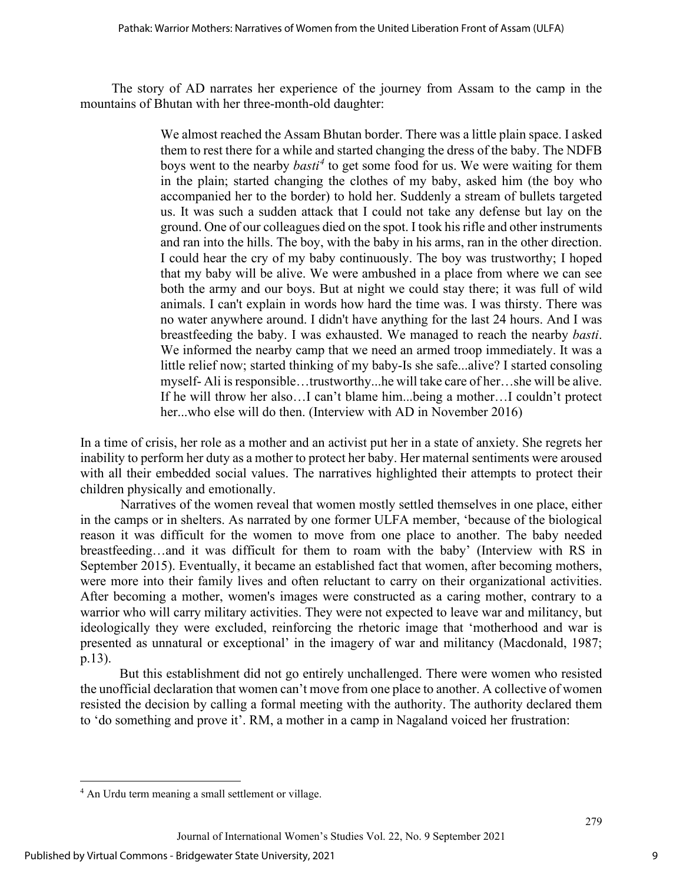The story of AD narrates her experience of the journey from Assam to the camp in the mountains of Bhutan with her three-month-old daughter:

> We almost reached the Assam Bhutan border. There was a little plain space. I asked them to rest there for a while and started changing the dress of the baby. The NDFB boys went to the nearby *basti[4](#page-9-0)* to get some food for us. We were waiting for them in the plain; started changing the clothes of my baby, asked him (the boy who accompanied her to the border) to hold her. Suddenly a stream of bullets targeted us. It was such a sudden attack that I could not take any defense but lay on the ground. One of our colleagues died on the spot. I took his rifle and other instruments and ran into the hills. The boy, with the baby in his arms, ran in the other direction. I could hear the cry of my baby continuously. The boy was trustworthy; I hoped that my baby will be alive. We were ambushed in a place from where we can see both the army and our boys. But at night we could stay there; it was full of wild animals. I can't explain in words how hard the time was. I was thirsty. There was no water anywhere around. I didn't have anything for the last 24 hours. And I was breastfeeding the baby. I was exhausted. We managed to reach the nearby *basti*. We informed the nearby camp that we need an armed troop immediately. It was a little relief now; started thinking of my baby-Is she safe...alive? I started consoling myself- Ali is responsible…trustworthy...he will take care of her…she will be alive. If he will throw her also…I can't blame him...being a mother…I couldn't protect her...who else will do then. (Interview with AD in November 2016)

In a time of crisis, her role as a mother and an activist put her in a state of anxiety. She regrets her inability to perform her duty as a mother to protect her baby. Her maternal sentiments were aroused with all their embedded social values. The narratives highlighted their attempts to protect their children physically and emotionally.

Narratives of the women reveal that women mostly settled themselves in one place, either in the camps or in shelters. As narrated by one former ULFA member, 'because of the biological reason it was difficult for the women to move from one place to another. The baby needed breastfeeding…and it was difficult for them to roam with the baby' (Interview with RS in September 2015). Eventually, it became an established fact that women, after becoming mothers, were more into their family lives and often reluctant to carry on their organizational activities. After becoming a mother, women's images were constructed as a caring mother, contrary to a warrior who will carry military activities. They were not expected to leave war and militancy, but ideologically they were excluded, reinforcing the rhetoric image that 'motherhood and war is presented as unnatural or exceptional' in the imagery of war and militancy (Macdonald, 1987; p.13).

But this establishment did not go entirely unchallenged. There were women who resisted the unofficial declaration that women can't move from one place to another. A collective of women resisted the decision by calling a formal meeting with the authority. The authority declared them to 'do something and prove it'. RM, a mother in a camp in Nagaland voiced her frustration:

<span id="page-9-0"></span><sup>&</sup>lt;sup>4</sup> An Urdu term meaning a small settlement or village.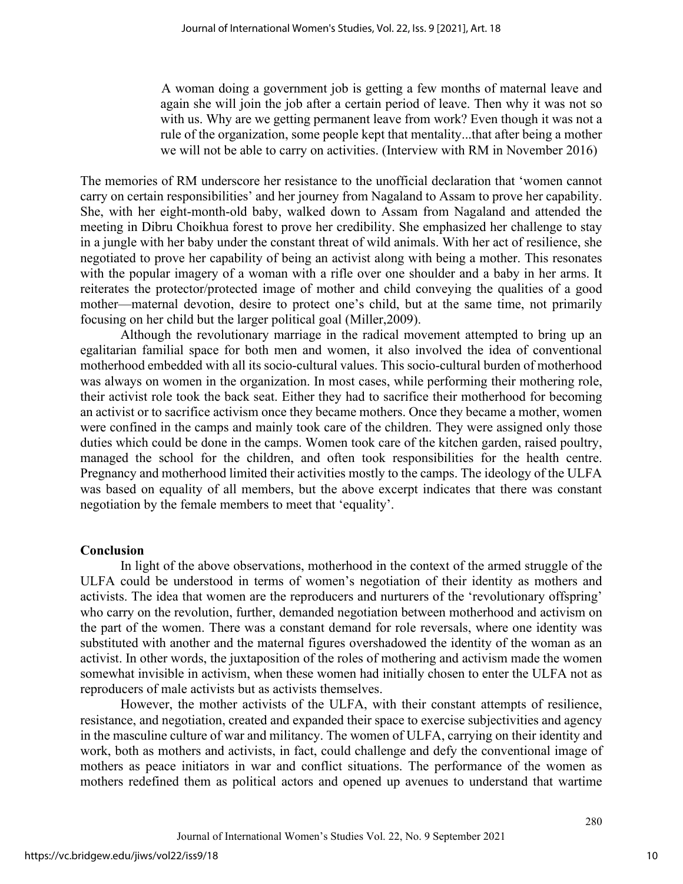A woman doing a government job is getting a few months of maternal leave and again she will join the job after a certain period of leave. Then why it was not so with us. Why are we getting permanent leave from work? Even though it was not a rule of the organization, some people kept that mentality...that after being a mother we will not be able to carry on activities. (Interview with RM in November 2016)

The memories of RM underscore her resistance to the unofficial declaration that 'women cannot carry on certain responsibilities' and her journey from Nagaland to Assam to prove her capability. She, with her eight-month-old baby, walked down to Assam from Nagaland and attended the meeting in Dibru Choikhua forest to prove her credibility. She emphasized her challenge to stay in a jungle with her baby under the constant threat of wild animals. With her act of resilience, she negotiated to prove her capability of being an activist along with being a mother. This resonates with the popular imagery of a woman with a rifle over one shoulder and a baby in her arms. It reiterates the protector/protected image of mother and child conveying the qualities of a good mother—maternal devotion, desire to protect one's child, but at the same time, not primarily focusing on her child but the larger political goal (Miller,2009).

Although the revolutionary marriage in the radical movement attempted to bring up an egalitarian familial space for both men and women, it also involved the idea of conventional motherhood embedded with all its socio-cultural values. This socio-cultural burden of motherhood was always on women in the organization. In most cases, while performing their mothering role, their activist role took the back seat. Either they had to sacrifice their motherhood for becoming an activist or to sacrifice activism once they became mothers. Once they became a mother, women were confined in the camps and mainly took care of the children. They were assigned only those duties which could be done in the camps. Women took care of the kitchen garden, raised poultry, managed the school for the children, and often took responsibilities for the health centre. Pregnancy and motherhood limited their activities mostly to the camps. The ideology of the ULFA was based on equality of all members, but the above excerpt indicates that there was constant negotiation by the female members to meet that 'equality'.

#### **Conclusion**

In light of the above observations, motherhood in the context of the armed struggle of the ULFA could be understood in terms of women's negotiation of their identity as mothers and activists. The idea that women are the reproducers and nurturers of the 'revolutionary offspring' who carry on the revolution, further, demanded negotiation between motherhood and activism on the part of the women. There was a constant demand for role reversals, where one identity was substituted with another and the maternal figures overshadowed the identity of the woman as an activist. In other words, the juxtaposition of the roles of mothering and activism made the women somewhat invisible in activism, when these women had initially chosen to enter the ULFA not as reproducers of male activists but as activists themselves.

However, the mother activists of the ULFA, with their constant attempts of resilience, resistance, and negotiation, created and expanded their space to exercise subjectivities and agency in the masculine culture of war and militancy. The women of ULFA, carrying on their identity and work, both as mothers and activists, in fact, could challenge and defy the conventional image of mothers as peace initiators in war and conflict situations. The performance of the women as mothers redefined them as political actors and opened up avenues to understand that wartime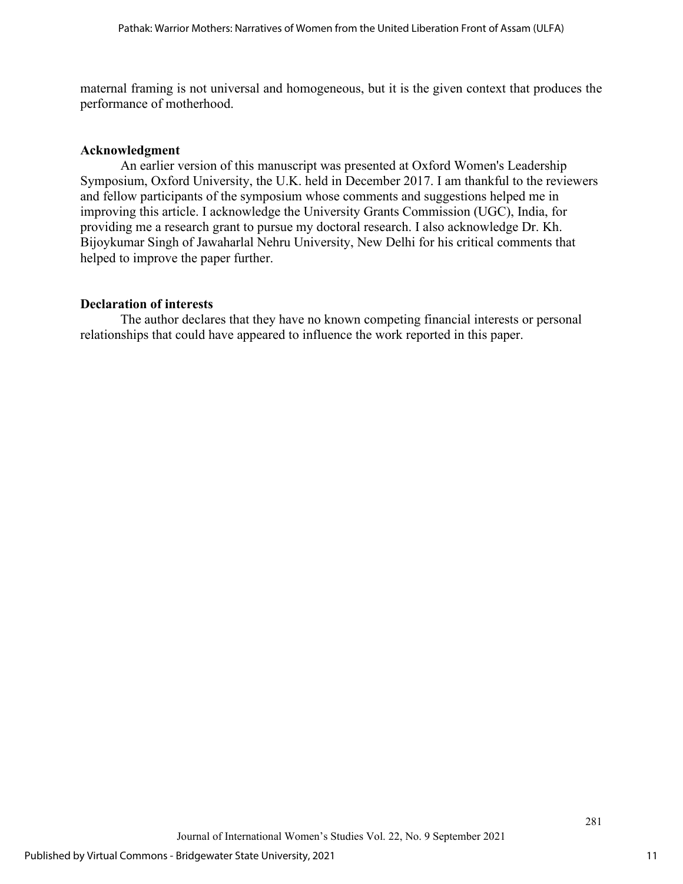maternal framing is not universal and homogeneous, but it is the given context that produces the performance of motherhood.

#### **Acknowledgment**

An earlier version of this manuscript was presented at Oxford Women's Leadership Symposium, Oxford University, the U.K. held in December 2017. I am thankful to the reviewers and fellow participants of the symposium whose comments and suggestions helped me in improving this article. I acknowledge the University Grants Commission (UGC), India, for providing me a research grant to pursue my doctoral research. I also acknowledge Dr. Kh. Bijoykumar Singh of Jawaharlal Nehru University, New Delhi for his critical comments that helped to improve the paper further.

#### **Declaration of interests**

 The author declares that they have no known competing financial interests or personal relationships that could have appeared to influence the work reported in this paper.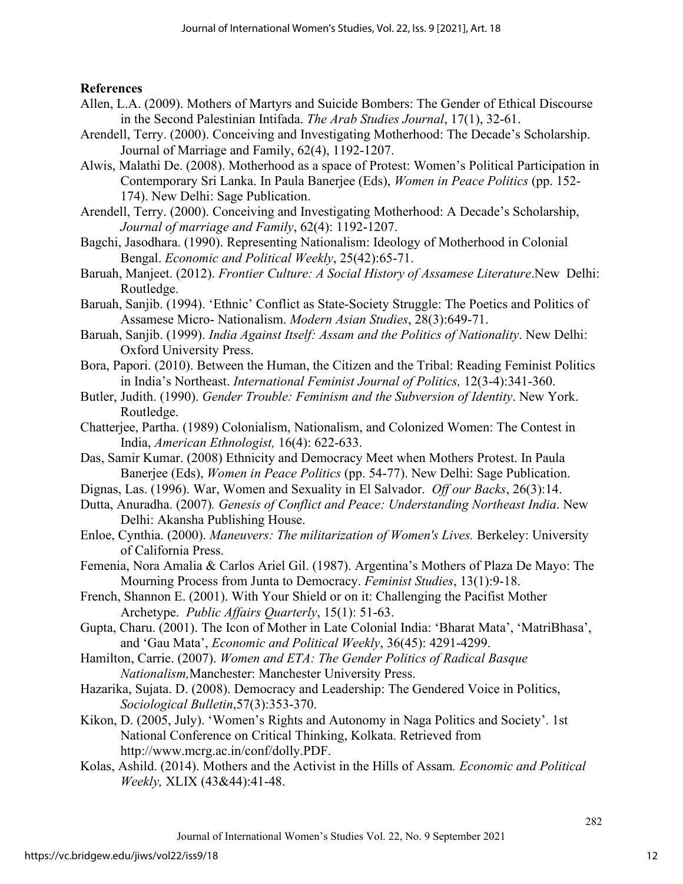## **References**

- Allen, L.A. (2009). Mothers of Martyrs and Suicide Bombers: The Gender of Ethical Discourse in the Second Palestinian Intifada. *The Arab Studies Journal*, 17(1), 32-61.
- Arendell, Terry. (2000). Conceiving and Investigating Motherhood: The Decade's Scholarship. Journal of Marriage and Family, 62(4), 1192-1207.
- Alwis, Malathi De. (2008). Motherhood as a space of Protest: Women's Political Participation in Contemporary Sri Lanka. In Paula Banerjee (Eds), *Women in Peace Politics* (pp. 152- 174). New Delhi: Sage Publication.
- Arendell, Terry. (2000). Conceiving and Investigating Motherhood: A Decade's Scholarship, *Journal of marriage and Family*, 62(4): 1192-1207.
- Bagchi, Jasodhara. (1990). Representing Nationalism: Ideology of Motherhood in Colonial Bengal. *Economic and Political Weekly*, 25(42):65-71.
- Baruah, Manjeet. (2012). *Frontier Culture: A Social History of Assamese Literature*.New Delhi: Routledge.
- Baruah, Sanjib. (1994). 'Ethnic' Conflict as State-Society Struggle: The Poetics and Politics of Assamese Micro- Nationalism. *Modern Asian Studies*, 28(3):649-71.
- Baruah, Sanjib. (1999). *India Against Itself: Assam and the Politics of Nationality*. New Delhi: Oxford University Press.
- Bora, Papori. (2010). Between the Human, the Citizen and the Tribal: Reading Feminist Politics in India's Northeast. *International Feminist Journal of Politics,* 12(3-4):341-360.
- Butler, Judith. (1990). *Gender Trouble: Feminism and the Subversion of Identity*. New York. Routledge.
- Chatterjee, Partha. (1989) Colonialism, Nationalism, and Colonized Women: The Contest in India, *American Ethnologist,* 16(4): 622-633.
- Das, Samir Kumar. (2008) Ethnicity and Democracy Meet when Mothers Protest. In Paula Banerjee (Eds), *Women in Peace Politics* (pp. 54-77). New Delhi: Sage Publication.
- Dignas, Las. (1996). War, Women and Sexuality in El Salvador. *Off our Backs*, 26(3):14.
- Dutta, Anuradha. (2007)*. Genesis of Conflict and Peace: Understanding Northeast India*. New Delhi: Akansha Publishing House.
- Enloe, Cynthia. (2000). *Maneuvers: The militarization of Women's Lives.* Berkeley: University of California Press.
- Femenia, Nora Amalia & Carlos Ariel Gil. (1987). Argentina's Mothers of Plaza De Mayo: The Mourning Process from Junta to Democracy. *Feminist Studies*, 13(1):9-18.
- French, Shannon E. (2001). With Your Shield or on it: Challenging the Pacifist Mother Archetype. *Public Affairs Quarterly*, 15(1): 51-63.
- Gupta, Charu. (2001). The Icon of Mother in Late Colonial India: 'Bharat Mata', 'MatriBhasa', and 'Gau Mata', *Economic and Political Weekly*, 36(45): 4291-4299.
- Hamilton, Carrie. (2007). *Women and ETA: The Gender Politics of Radical Basque Nationalism,*Manchester: Manchester University Press.
- Hazarika, Sujata. D. (2008). Democracy and Leadership: The Gendered Voice in Politics, *Sociological Bulletin*,57(3):353-370.
- Kikon, D. (2005, July). 'Women's Rights and Autonomy in Naga Politics and Society'. 1st National Conference on Critical Thinking, Kolkata. Retrieved from http://www.mcrg.ac.in/conf/dolly.PDF.
- Kolas, Ashild. (2014). Mothers and the Activist in the Hills of Assam*. Economic and Political Weekly,* XLIX (43&44):41-48.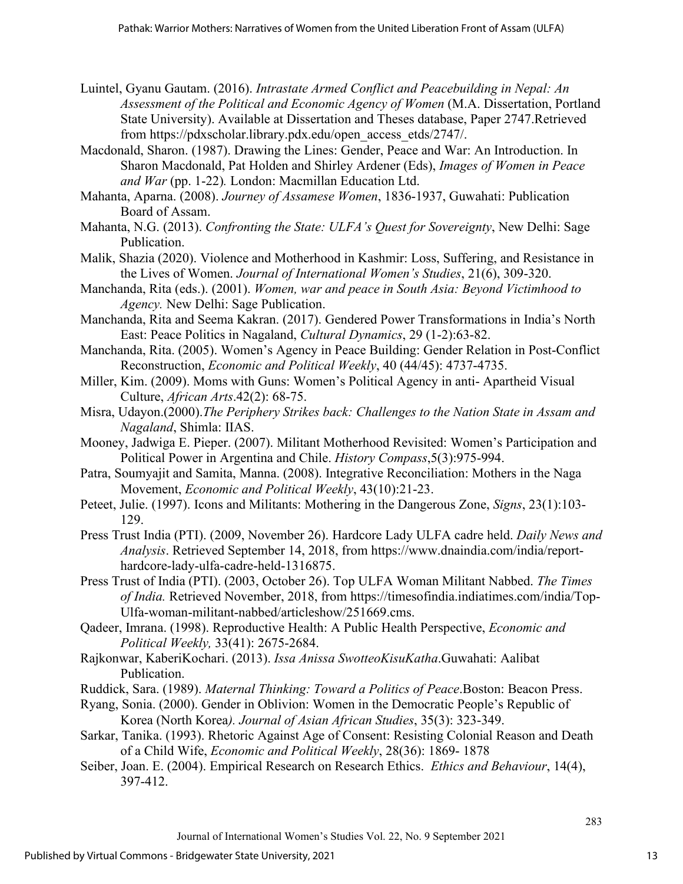- Luintel, Gyanu Gautam. (2016). *Intrastate Armed Conflict and Peacebuilding in Nepal: An Assessment of the Political and Economic Agency of Women* (M.A. Dissertation, Portland State University). Available at Dissertation and Theses database, Paper 2747.Retrieved from https://pdxscholar.library.pdx.edu/open\_access\_etds/2747/.
- Macdonald, Sharon. (1987). Drawing the Lines: Gender, Peace and War: An Introduction. In Sharon Macdonald, Pat Holden and Shirley Ardener (Eds), *Images of Women in Peace and War* (pp. 1-22)*.* London: Macmillan Education Ltd.
- Mahanta, Aparna. (2008). *Journey of Assamese Women*, 1836-1937, Guwahati: Publication Board of Assam.
- Mahanta, N.G. (2013). *Confronting the State: ULFA's Quest for Sovereignty*, New Delhi: Sage Publication.
- Malik, Shazia (2020). Violence and Motherhood in Kashmir: Loss, Suffering, and Resistance in the Lives of Women. *Journal of International Women's Studies*, 21(6), 309-320.
- Manchanda, Rita (eds.). (2001). *Women, war and peace in South Asia: Beyond Victimhood to Agency.* New Delhi: Sage Publication.
- Manchanda, Rita and Seema Kakran. (2017). Gendered Power Transformations in India's North East: Peace Politics in Nagaland, *Cultural Dynamics*, 29 (1-2):63-82.
- Manchanda, Rita. (2005). Women's Agency in Peace Building: Gender Relation in Post-Conflict Reconstruction, *Economic and Political Weekly*, 40 (44/45): 4737-4735.
- Miller, Kim. (2009). Moms with Guns: Women's Political Agency in anti- Apartheid Visual Culture, *African Arts*.42(2): 68-75.
- Misra, Udayon.(2000).*The Periphery Strikes back: Challenges to the Nation State in Assam and Nagaland*, Shimla: IIAS.
- Mooney, Jadwiga E. Pieper. (2007). Militant Motherhood Revisited: Women's Participation and Political Power in Argentina and Chile. *History Compass*,5(3):975-994.
- Patra, Soumyajit and Samita, Manna. (2008). Integrative Reconciliation: Mothers in the Naga Movement, *Economic and Political Weekly*, 43(10):21-23.
- Peteet, Julie. (1997). Icons and Militants: Mothering in the Dangerous Zone, *Signs*, 23(1):103- 129.
- Press Trust India (PTI). (2009, November 26). Hardcore Lady ULFA cadre held. *Daily News and Analysis*. Retrieved September 14, 2018, from https://www.dnaindia.com/india/reporthardcore-lady-ulfa-cadre-held-1316875.
- Press Trust of India (PTI). (2003, October 26). Top ULFA Woman Militant Nabbed. *The Times of India.* Retrieved November, 2018, from https://timesofindia.indiatimes.com/india/Top-Ulfa-woman-militant-nabbed/articleshow/251669.cms.
- Qadeer, Imrana. (1998). Reproductive Health: A Public Health Perspective, *Economic and Political Weekly,* 33(41): 2675-2684.
- Rajkonwar, KaberiKochari. (2013). *Issa Anissa SwotteoKisuKatha*.Guwahati: Aalibat Publication.
- Ruddick, Sara. (1989). *Maternal Thinking: Toward a Politics of Peace*.Boston: Beacon Press.
- Ryang, Sonia. (2000). Gender in Oblivion: Women in the Democratic People's Republic of Korea (North Korea*). Journal of Asian African Studies*, 35(3): 323-349.
- Sarkar, Tanika. (1993). Rhetoric Against Age of Consent: Resisting Colonial Reason and Death of a Child Wife, *Economic and Political Weekly*, 28(36): 1869- 1878
- Seiber, Joan. E. (2004). Empirical Research on Research Ethics. *Ethics and Behaviour*, 14(4), 397-412.